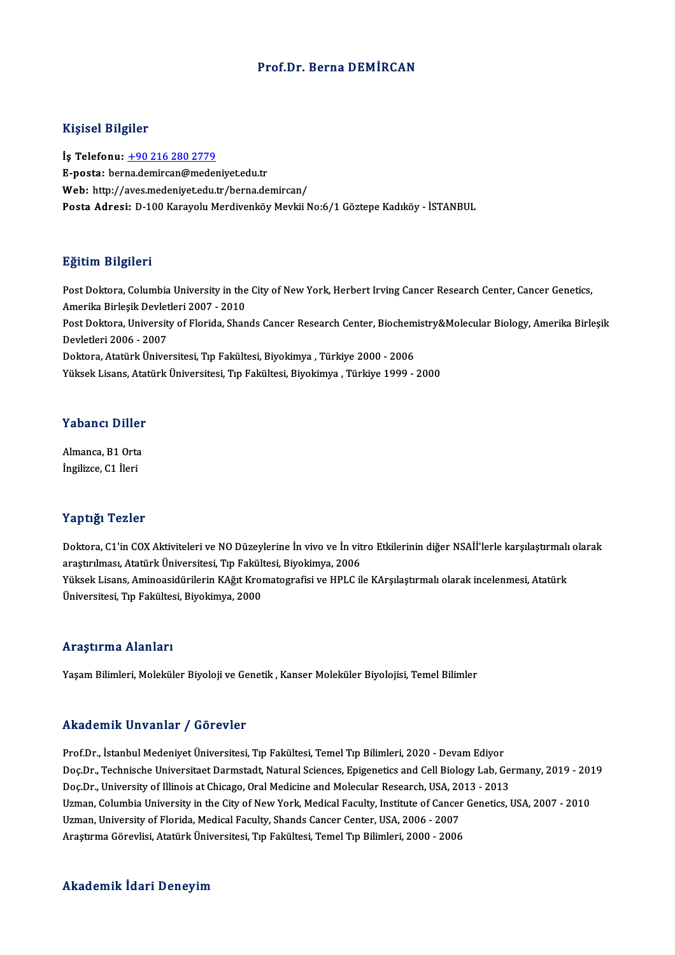#### Prof.Dr. BernaDEMİRCAN

#### Kişisel Bilgiler

İş Telefonu: +90 216 280 2779 E-posta: ber[na.demircan@meden](tel:+90 216 280 2779)iyet.edu.tr Web: http://aves.medeniyet.edu.tr/berna.demircan/ Posta Adresi: D-100 Karayolu Merdivenköy Mevkii No:6/1 Göztepe Kadıköy - İSTANBUL

#### Eğitim Bilgileri

Eğitim Bilgileri<br>Post Doktora, Columbia University in the City of New York, Herbert Irving Cancer Research Center, Cancer Genetics,<br>Amerika Birlesik Devletleri 2007, 2010. Agressi<br>Post Doktora, Columbia University in the<br>Amerika Birleşik Devletleri 2007 - 2010<br>Post Doktora, University of Florida, Shan Post Doktora, Columbia University in the City of New York, Herbert Irving Cancer Research Center, Cancer Genetics,<br>Amerika Birleşik Devletleri 2007 - 2010<br>Post Doktora, University of Florida, Shands Cancer Research Center, Amerika Birleşik Devlet<br>Post Doktora, Universit<br>Devletleri 2006 - 2007<br>Doktora, Atatürk Üniver Post Doktora, University of Florida, Shands Cancer Research Center, Biochem<br>Devletleri 2006 - 2007<br>Doktora, Atatürk Üniversitesi, Tıp Fakültesi, Biyokimya , Türkiye 2000 - 2006<br>Vülgek Lisans, Atatürk Üniversitesi, Tıp Fakü Devletleri 2006 - 2007<br>Doktora, Atatürk Üniversitesi, Tıp Fakültesi, Biyokimya , Türkiye 2000 - 2006<br>Yüksek Lisans, Atatürk Üniversitesi, Tıp Fakültesi, Biyokimya , Türkiye 1999 - 2000

#### Yabancı Diller

Almanca, B1 Orta İngilizce, C1 İleri

#### Yaptığı Tezler

Yaptığı Tezler<br>Doktora, C1'in COX Aktiviteleri ve NO Düzeylerine İn vivo ve İn vitro Etkilerinin diğer NSAİİ'lerle karşılaştırmalı olarak<br>arastırılması, Atatürk Üniversitesi, Tın Fakültesi, Biyekimya, 2006 ra per rester<br>Doktora, C1'in COX Aktiviteleri ve NO Düzeylerine İn vivo ve İn vit<br>araştırılması, Atatürk Üniversitesi, Tıp Fakültesi, Biyokimya, 2006<br>Vülteek Lisens, Aminoasidürilerin KAğıt Kromatografisi ve HDLC il Doktora, C1'in COX Aktiviteleri ve NO Düzeylerine İn vivo ve İn vitro Etkilerinin diğer NSAİİ'lerle karşılaştırmalı<br>araştırılması, Atatürk Üniversitesi, Tıp Fakültesi, Biyokimya, 2006<br>Yüksek Lisans, Aminoasidürilerin KAğıt araştırılması, Atatürk Üniversitesi, Tıp Fakült<br>Yüksek Lisans, Aminoasidürilerin KAğıt Kroı<br>Üniversitesi, Tıp Fakültesi, Biyokimya, 2000 Üniversitesi, Tıp Fakültesi, Biyokimya, 2000<br>Araştırma Alanları

Yaşam Bilimleri, Moleküler Biyoloji ve Genetik, Kanser Moleküler Biyolojisi, Temel Bilimler

#### Akademik Unvanlar / Görevler

Prof.Dr., İstanbul Medeniyet Üniversitesi, Tıp Fakültesi, Temel Tıp Bilimleri, 2020 - Devam Ediyor Doc.Dr., Technische Universitaet Darmstadt, Natural Sciences, Epigenetics and Cell Biology Lab, Germany, 2019 - 2019 Prof.Dr., İstanbul Medeniyet Üniversitesi, Tıp Fakültesi, Temel Tıp Bilimleri, 2020 - Devam Ediyor<br>Doç.Dr., Technische Universitaet Darmstadt, Natural Sciences, Epigenetics and Cell Biology Lab, Ge<br>Doç.Dr., University of I Doç.Dr., Technische Universitaet Darmstadt, Natural Sciences, Epigenetics and Cell Biology Lab, Germany, 2019 - 201<br>Doç.Dr., University of Illinois at Chicago, Oral Medicine and Molecular Research, USA, 2013 - 2013<br>Uzman, Doç.Dr., University of Illinois at Chicago, Oral Medicine and Molecular Research, USA, 20<br>Uzman, Columbia University in the City of New York, Medical Faculty, Institute of Cancer<br>Uzman, University of Florida, Medical Facul Uzman, Columbia University in the City of New York, Medical Faculty, Institute of Cancer<br>Uzman, University of Florida, Medical Faculty, Shands Cancer Center, USA, 2006 - 2007<br>Araştırma Görevlisi, Atatürk Üniversitesi, Tıp Araştırma Görevlisi, Atatürk Üniversitesi, Tıp Fakültesi, Temel Tıp Bilimleri, 2000 - 2006<br>Akademik İdari Deneyim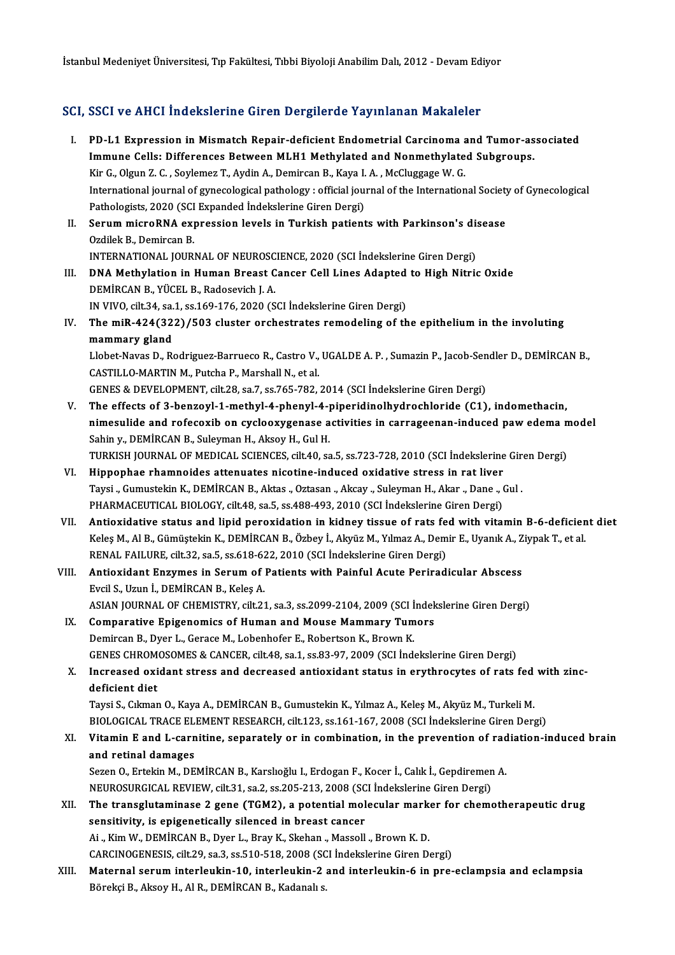İstanbul Medeniyet Üniversitesi, Tıp Fakültesi, Tıbbi Biyoloji Anabilim Dalı, 2012 - Devam Ediyor

## SCI, SSCI ve AHCI İndekslerine Giren Dergilerde Yayınlanan Makaleler

I. PD-L1 Expression inMismatch Repair-deficient Endometrial Carcinoma and Tumor-associated DOCI VO IIMM INMORDIONING AN DISTRICTABLE IN INTERNATIONAL PRINTIPS.<br>IMMune Cells: Differences Between MLH1 Methylated and Nonmethylated Subgroups.<br>Vir C. Olgun 7. C. Sovlamer T. Avdin A. Demircan B. Kava L.A. McCluggage W PD-L1 Expression in Mismatch Repair-deficient Endometrial Carcinoma and Monmethylate in the Cells: Differences Between MLH1 Methylated and Nonmethylate<br>Kir G., Olgun Z. C. , Soylemez T., Aydin A., Demircan B., Kaya I.A. , Immune Cells: Differences Between MLH1 Methylated and Nonmethylated Subgroups.<br>Kir G., Olgun Z. C. , Soylemez T., Aydin A., Demircan B., Kaya I. A. , McCluggage W. G.<br>International journal of gynecological pathology : offi Kir G., Olgun Z. C. , Soylemez T., Aydin A., Demircan B., Kaya I. A. , McCluggage W. G.<br>International journal of gynecological pathology : official journal of the International Societ<br>Pathologists, 2020 (SCI Expanded İndek International journal of gynecological pathology : official journal of the International Society<br>Pathologists, 2020 (SCI Expanded Indekslerine Giren Dergi)<br>II. Serum microRNA expression levels in Turkish patients with Park Pathologists, 2020 (SCI Expanded Indekslerine Giren Dergi)<br>Serum microRNA expression levels in Turkish patient<br>Ozdilek B., Demircan B. Serum microRNA expression levels in Turkish patients with Parkinson's dis<br>Ozdilek B., Demircan B.<br>INTERNATIONAL JOURNAL OF NEUROSCIENCE, 2020 (SCI İndekslerine Giren Dergi)<br>DNA Methyletion in Human Preest Canser Cell Lines Ozdilek B., Demircan B.<br>INTERNATIONAL JOURNAL OF NEUROSCIENCE, 2020 (SCI İndekslerine Giren Dergi)<br>III. DNA Methylation in Human Breast Cancer Cell Lines Adapted to High Nitric Oxide<br>DEMIRCAN B. VÜCEL B. Badeesvich L.A. INTERNATIONAL JOURNAL OF NEUROSC<br>DNA Methylation in Human Breast C<br>DEMİRCAN B., YÜCEL B., Radosevich J. A. DNA Methylation in Human Breast Cancer Cell Lines Adapted<br>DEMİRCAN B., YÜCEL B., Radosevich J. A.<br>IN VIVO, cilt.34, sa.1, ss.169-176, 2020 (SCI İndekslerine Giren Dergi)<br>The mill 424(222) (502 cluster ershestrates remadeli DEMİRCAN B., YÜCEL B., Radosevich J. A.<br>IN VIVO, cilt.34, sa.1, ss.169-176, 2020 (SCI İndekslerine Giren Dergi)<br>IV. The miR-424(322)/503 cluster orchestrates remodeling of the epithelium in the involuting<br>mammany cland IN VIVO, cilt.34, sa.<br>The miR-424(32<br>mammary gland<br>Habat Naves D. B. The miR-424(322)/503 cluster orchestrates remodeling of the epithelium in the involuting<br>mammary gland<br>Llobet-Navas D., Rodriguez-Barrueco R., Castro V., UGALDE A. P. , Sumazin P., Jacob-Sendler D., DEMİRCAN B.,<br>CASTU LO M mammary gland<br>Llobet-Navas D., Rodriguez-Barrueco R., Castro V., UGALDE A. P. , Sumazin P., Jacob-Sendler D., DEMİRCAN B.,<br>CASTILLO-MARTIN M., Putcha P., Marshall N., et al. GENES&DEVELOPMENT, cilt.28, sa.7, ss.765-782,2014 (SCI İndekslerineGirenDergi) V. The effects of 3-benzoyl-1-methyl-4-phenyl-4-piperidinolhydrochloride (C1), indomethacin, GENES & DEVELOPMENT, cilt.28, sa.7, ss.765-782, 2014 (SCI İndekslerine Giren Dergi)<br>The effects of 3-benzoyl-1-methyl-4-phenyl-4-piperidinolhydrochloride (C1), indomethacin,<br>nimesulide and rofecoxib on cyclooxygenase activ The effects of 3-benzoyl-1-methyl-4-phenyl-4-<br>nimesulide and rofecoxib on cyclooxygenase a<br>Sahin y., DEMİRCAN B., Suleyman H., Aksoy H., Gul H.<br>TURKISH JOURNAL OF MEDICAL SCIENCES silt 40.88 Sahin y., DEMİRCAN B., Suleyman H., Aksoy H., Gul H.<br>TURKISH JOURNAL OF MEDICAL SCIENCES, cilt.40, sa.5, ss.723-728, 2010 (SCI İndekslerine Giren Dergi) VI. Hippophae rhamnoides attenuates nicotine-induced oxidative stress in rat liver TURKISH JOURNAL OF MEDICAL SCIENCES, cilt.40, sa.5, ss.723-728, 2010 (SCI İndekslerine Gir<br>Hippophae rhamnoides attenuates nicotine-induced oxidative stress in rat liver<br>Taysi ., Gumustekin K., DEMİRCAN B., Aktas ., Oztasa Hippophae rhamnoides attenuates nicotine-induced oxidative stress in rat liver<br>Taysi "Gumustekin K., DEMİRCAN B., Aktas "Oztasan "Akcay "Suleyman H., Akar "Dane "(<br>PHARMACEUTICAL BIOLOGY, cilt.48, sa.5, ss.488-493, 2010 (S PHARMACEUTICAL BIOLOGY, cilt.48, sa.5, ss.488-493, 2010 (SCI Indekslerine Giren Dergi)<br>VII. Antioxidative status and lipid peroxidation in kidney tissue of rats fed with vitamin B-6-deficient diet PHARMACEUTICAL BIOLOGY, cilt.48, sa.5, ss.488-493, 2010 (SCI İndekslerine Giren Dergi)<br>Antioxidative status and lipid peroxidation in kidney tissue of rats fed with vitamin B-6-deficien<br>Keleş M., Al B., Gümüştekin K., DEMİ Antioxidative status and lipid peroxidation in kidney tissue of rats fe<br>Keleş M., Al B., Gümüştekin K., DEMİRCAN B., Özbey İ., Akyüz M., Yılmaz A., Dem<br>RENAL FAILURE, cilt.32, sa.5, ss.618-622, 2010 (SCI İndekslerine Giren Keleş M., Al B., Gümüştekin K., DEMİRCAN B., Özbey İ., Akyüz M., Yılmaz A., Demir E., Uyanık A., Z<br>RENAL FAILURE, cilt.32, sa.5, ss.618-622, 2010 (SCI İndekslerine Giren Dergi)<br>VIII. Antioxidant Enzymes in Serum of Patient RENAL FAILURE, cilt.32, sa.5, ss.618-622, 2010 (SCI Indekslerine Giren Dergi)<br>VIII. Antioxidant Enzymes in Serum of Patients with Painful Acute Periradicular Abscess<br>Evcil S., Uzun I., DEMIRCAN B., Keleş A. ASIAN JOURNAL OF CHEMISTRY, cilt.21, sa.3, ss.2099-2104, 2009 (SCI İndekslerine Giren Dergi) IX. Comparative Epigenomics of Human and Mouse Mammary Tumors Demircan B., Dyer L., Gerace M., Lobenhofer E., Robertson K., Brown K. Comparative Epigenomics of Human and Mouse Mammary Tumors<br>Demircan B., Dyer L., Gerace M., Lobenhofer E., Robertson K., Brown K.<br>GENES CHROMOSOMES & CANCER, cilt.48, sa.1, ss.83-97, 2009 (SCI İndekslerine Giren Dergi)<br>Inex Demircan B., Dyer L., Gerace M., Lobenhofer E., Robertson K., Brown K.<br>GENES CHROMOSOMES & CANCER, cilt.48, sa.1, ss.83-97, 2009 (SCI Indekslerine Giren Dergi)<br>X. Increased oxidant stress and decreased antioxidant status i GENES CHROM<br>Increased oxideficient diet<br>Tavei S. Cilmar Increased oxidant stress and decreased antioxidant status in erythrocytes of rats fed<br>deficient diet<br>Taysi S., Cıkman O., Kaya A., DEMİRCAN B., Gumustekin K., Yılmaz A., Keleş M., Akyüz M., Turkeli M.<br>PIOLOCICAL TRACE ELEM deficient diet<br>Taysi S., Cıkman O., Kaya A., DEMİRCAN B., Gumustekin K., Yılmaz A., Keleş M., Akyüz M., Turkeli M.<br>BIOLOGICAL TRACE ELEMENT RESEARCH, cilt.123, ss.161-167, 2008 (SCI İndekslerine Giren Dergi) Taysi S., Cıkman O., Kaya A., DEMİRCAN B., Gumustekin K., Yılmaz A., Keleş M., Akyüz M., Turkeli M.<br>BIOLOGICAL TRACE ELEMENT RESEARCH, cilt.123, ss.161-167, 2008 (SCI İndekslerine Giren Dergi)<br>XI. Vitamin E and L-carnitine BIOLOGICAL TRACE ELI<br>Vitamin E and L-carn<br>and retinal damages<br>Seren O Ertekin M DE Vitamin E and L-carnitine, separately or in combination, in the prevention of rad<br>and retinal damages<br>Sezen O., Ertekin M., DEMİRCAN B., Karslıoğlu I., Erdogan F., Kocer İ., Calık İ., Gepdiremen A.<br>NEUPOSUPCICAL PEVIEW, si and retinal damages<br>Sezen O., Ertekin M., DEMİRCAN B., Karslıoğlu I., Erdogan F., Kocer İ., Calık İ., Gepdiremen<br>NEUROSURGICAL REVIEW, cilt.31, sa.2, ss.205-213, 2008 (SCI İndekslerine Giren Dergi)<br>The transsluteminase 3 s Sezen O., Ertekin M., DEMİRCAN B., Karslıoğlu I., Erdogan F., Kocer İ., Calık İ., Gepdiremen A.<br>NEUROSURGICAL REVIEW, cilt.31, sa.2, ss.205-213, 2008 (SCI İndekslerine Giren Dergi)<br>XII. The transglutaminase 2 gene (TGM NEUROSURGICAL REVIEW, cilt.31, sa.2, ss.205-213, 2008 (SCI Indekslerine Giren Dergi)<br>The transglutaminase 2 gene (TGM2), a potential molecular marker for chement<br>sensitivity, is epigenetically silenced in breast cancer<br>Ai The transglutaminase 2 gene (TGM2), a potential molecular mark<br>sensitivity, is epigenetically silenced in breast cancer<br>Ai .,Kim W., DEMİRCAN B., Dyer L., Bray K., Skehan ., Massoll ., Brown K. D.<br>CARCINOCENESIS .sil: 20, sensitivity, is epigenetically silenced in breast cancer<br>Ai ., Kim W., DEMİRCAN B., Dyer L., Bray K., Skehan ., Massoll ., Brown K. D.<br>CARCINOGENESIS, cilt.29, sa.3, ss.510-518, 2008 (SCI İndekslerine Giren Dergi)<br>Matannal XIII. Maternal serum interleukin-10, interleukin-2 and interleukin-6 in pre-eclampsia and eclampsia<br>Börekçi B., Aksoy H., Al R., DEMİRCAN B., Kadanalı s. CARCINOGENESIS, cilt.29, sa.3, ss.510-518, 2008 (SC<br>Maternal <mark>serum interleukin-10, interleukin-2</mark><br>Börekçi B., Aksoy H., Al R., DEMİRCAN B., Kadanalı s.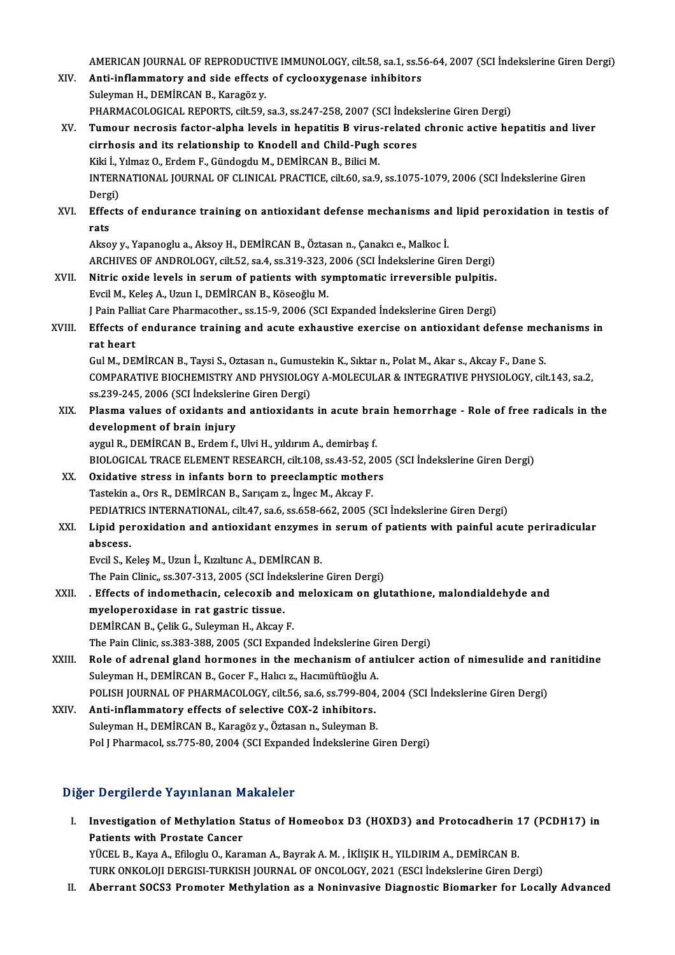AMERICAN JOURNAL OF REPRODUCTIVE IMMUNOLOGY, cilt.58, sa.1, ss.56-64, 2007 (SCI İndekslerine Giren Dergi)<br>Anti-inflammatery and side effects ef sysleovysenese inhibitare

|        | AMERICAN JOURNAL OF REPRODUCTIVE IMMUNOLOGY, cilt.58, sa.1, ss.56-64, 2007 (SCI Indekslerine Giren Dergi)   |
|--------|-------------------------------------------------------------------------------------------------------------|
| XIV.   | Anti-inflammatory and side effects of cyclooxygenase inhibitors                                             |
|        | Suleyman H., DEMİRCAN B., Karagöz y.                                                                        |
|        | PHARMACOLOGICAL REPORTS, cilt.59, sa.3, ss.247-258, 2007 (SCI Indekslerine Giren Dergi)                     |
| XV.    | Tumour necrosis factor-alpha levels in hepatitis B virus-related chronic active hepatitis and liver         |
|        | cirrhosis and its relationship to Knodell and Child-Pugh scores                                             |
|        | Kiki İ., Yılmaz O., Erdem F., Gündogdu M., DEMİRCAN B., Bilici M.                                           |
|        | INTERNATIONAL JOURNAL OF CLINICAL PRACTICE, cilt.60, sa.9, ss.1075-1079, 2006 (SCI Indekslerine Giren       |
|        | Dergi)                                                                                                      |
| XVI.   | Effects of endurance training on antioxidant defense mechanisms and lipid peroxidation in testis of<br>rats |
|        | Aksoy y., Yapanoglu a., Aksoy H., DEMİRCAN B., Öztasan n., Çanakcı e., Malkoc İ.                            |
|        | ARCHIVES OF ANDROLOGY, cilt.52, sa.4, ss.319-323, 2006 (SCI Indekslerine Giren Dergi)                       |
| XVII.  | Nitric oxide levels in serum of patients with symptomatic irreversible pulpitis.                            |
|        | Evcil M., Keleş A., Uzun I., DEMİRCAN B., Köseoğlu M.                                                       |
|        | J Pain Palliat Care Pharmacother., ss.15-9, 2006 (SCI Expanded Indekslerine Giren Dergi)                    |
| XVIII. | Effects of endurance training and acute exhaustive exercise on antioxidant defense mechanisms in            |
|        | rat heart                                                                                                   |
|        | Gul M., DEMİRCAN B., Taysi S., Oztasan n., Gumustekin K., Sıktar n., Polat M., Akar s., Akcay F., Dane S.   |
|        | COMPARATIVE BIOCHEMISTRY AND PHYSIOLOGY A-MOLECULAR & INTEGRATIVE PHYSIOLOGY, cilt.143, sa.2,               |
|        | ss.239-245, 2006 (SCI İndekslerine Giren Dergi)                                                             |
| XIX.   | Plasma values of oxidants and antioxidants in acute brain hemorrhage - Role of free radicals in the         |
|        | development of brain injury                                                                                 |
|        | aygul R., DEMİRCAN B., Erdem f., Ulvi H., yıldırım A., demirbaş f.                                          |
|        | BIOLOGICAL TRACE ELEMENT RESEARCH, cilt.108, ss.43-52, 2005 (SCI İndekslerine Giren Dergi)                  |
| XX.    | Oxidative stress in infants born to preeclamptic mothers                                                    |
|        | Tastekin a., Ors R., DEMİRCAN B., Sarıçam z., İngec M., Akcay F.                                            |
|        | PEDIATRICS INTERNATIONAL, cilt.47, sa.6, ss.658-662, 2005 (SCI İndekslerine Giren Dergi)                    |
| XXI.   | Lipid peroxidation and antioxidant enzymes in serum of patients with painful acute periradicular            |
|        | abscess.                                                                                                    |
|        | Evcil S., Keleş M., Uzun İ., Kızıltunc A., DEMİRCAN B.                                                      |
|        | The Pain Clinic,, ss 307-313, 2005 (SCI Indekslerine Giren Dergi)                                           |
| XXII.  | . Effects of indomethacin, celecoxib and meloxicam on glutathione, malondialdehyde and                      |
|        | myeloperoxidase in rat gastric tissue.                                                                      |
|        | DEMİRCAN B., Çelik G., Suleyman H., Akcay F.                                                                |
|        | The Pain Clinic, ss.383-388, 2005 (SCI Expanded Indekslerine Giren Dergi)                                   |
| XXIII. | Role of adrenal gland hormones in the mechanism of antiulcer action of nimesulide and ranitidine            |
|        | Suleyman H., DEMİRCAN B., Gocer F., Halıcı z., Hacımüftüoğlu A.                                             |
|        | POLISH JOURNAL OF PHARMACOLOGY, cilt.56, sa.6, ss.799-804, 2004 (SCI İndekslerine Giren Dergi)              |
| XXIV.  | Anti-inflammatory effects of selective COX-2 inhibitors.                                                    |
|        | Suleyman H., DEMİRCAN B., Karagöz y., Öztasan n., Suleyman B.                                               |
|        | Pol J Pharmacol, ss 775-80, 2004 (SCI Expanded İndekslerine Giren Dergi)                                    |
|        |                                                                                                             |

# 1901 | Pharmacol, ss.775-80, 2004 (SCI Expand<br>Diğer Dergilerde Yayınlanan Makaleler

Iger Dergilerde Yayınlanan Makaleler<br>I. Investigation of Methylation Status of Homeobox D3 (HOXD3) and Protocadherin 17 (PCDH17) in Procedus Prophetics Procedulation<br>Patients with Prostate Cancer<br>VÜCEL B. Kaya A. Efilesly O. Kaya Investigation of Methylation Status of Homeobox D3 (HOXD3) and Protocadherin 1<br>Patients with Prostate Cancer<br>YÜCEL B., Kaya A., Efiloglu O., Karaman A., Bayrak A. M. , İKİIŞIK H., YILDIRIM A., DEMİRCAN B.<br>TURK ONKOLOU DERÇ

Patients with Prostate Cancer<br>YÜCEL B., Kaya A., Efiloglu O., Karaman A., Bayrak A. M. , İKİIŞIK H., YILDIRIM A., DEMİRCAN B.<br>TURK ONKOLOJI DERGISI-TURKISH JOURNAL OF ONCOLOGY, 2021 (ESCI İndekslerine Giren Dergi)<br>Aberrant TURK ONKOLOJI DERGISI-TURKISH JOURNAL OF ONCOLOGY, 2021 (ESCI Indekslerine Giren Dergi)<br>II. Aberrant SOCS3 Promoter Methylation as a Noninvasive Diagnostic Biomarker for Locally Advanced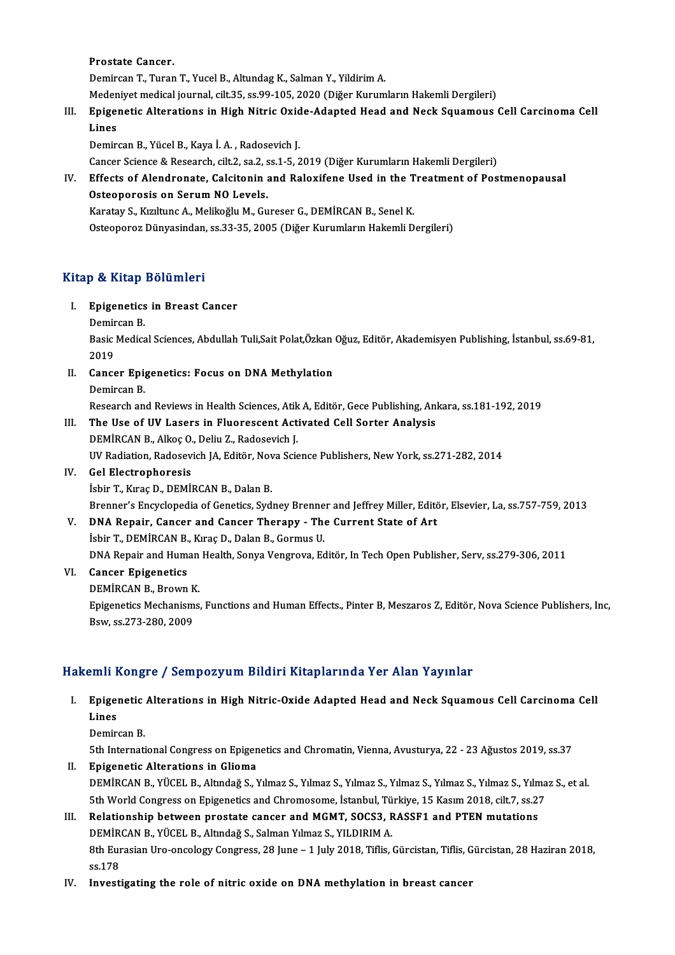Prostate Cancer.

Demircan T., Turan T., Yucel B., Altundag K., Salman Y., Yildirim A. Prostate Cancer.<br>Demircan T., Turan T., Yucel B., Altundag K., Salman Y., Yildirim A.<br>Medeniyet medical journal, cilt.35, ss.99-105, 2020 (Diğer Kurumların Hakemli Dergileri)<br>Enigenetia Alterations in High Nitrie Ovide Ade

- 
- Demircan T., Turan T., Yucel B., Altundag K., Salman Y., Yildirim A.<br>Medeniyet medical journal, cilt.35, ss.99-105, 2020 (Diğer Kurumların Hakemli Dergileri)<br>III. Epigenetic Alterations in High Nitric Oxide-Adapted Head an Meden<br><mark>Epige</mark><br>Lines<br><sub>Domir</sub> Epigenetic Alterations in High Nitric Oxid<br>Lines<br>Demircan B., Yücel B., Kaya İ.A. , Radosevich J.<br>Cancer Sciance & Besearch cilt 2, sa 2, ss 1, 5, 2 Lines<br>Demircan B., Yücel B., Kaya İ. A. , Radosevich J.<br>Cancer Science & Research, cilt.2, sa.2, ss.1-5, 2019 (Diğer Kurumların Hakemli Dergileri)<br>Effects of Alendronate, Calsitonin and Balexifone Heed in the Treatment of

Demircan B., Yücel B., Kaya İ. A. , Radosevich J.<br>Cancer Science & Research, cilt.2, sa.2, ss.1-5, 2019 (Diğer Kurumların Hakemli Dergileri)<br>IV. Effects of Alendronate, Calcitonin and Raloxifene Used in the Treatment of Po Cancer Science & Research, cilt.2, sa.2, s<br>Effects of Alendronate, Calcitonin<br>Osteoporosis on Serum NO Levels.<br>Karatav S. Kurltung A. Molikoğlu M. Gu

Karatay S., Kızıltunc A., Melikoğlu M., Gureser G., DEMİRCAN B., Senel K.

Osteoporoz Dünyasindan, ss.33-35, 2005 (Diğer Kurumların Hakemli Dergileri)

## Kitap & Kitap Bölümleri

- itap & Kitap Bölümleri<br>I. Epigenetics in Breast Cancer<br>Domissan B p & Artap<br>Epigenetics<br>Demircan B.<br>Posis Medica
	-

Epigenetics in Breast Cancer<br>Demircan B.<br>Basic Medical Sciences, Abdullah Tuli,Sait Polat,Özkan Oğuz, Editör, Akademisyen Publishing, İstanbul, ss.69-81, Demir<br>Basic<br>2019<br>Canas Basic Medical Sciences, Abdullah Tuli,Sait Polat,Özkan<br>2019<br>II. Cancer Epigenetics: Focus on DNA Methylation<br>Domircan B

2019<br>II. Cancer Epigenetics: Focus on DNA Methylation<br>Demircan B. Research and Reviews in Health Sciences, Atik A, Editör, Gece Publishing, Ankara, ss.181-192, 2019

Demircan B.<br>Research and Reviews in Health Sciences, Atik A, Editör, Gece Publishing, An<br>III. The Use of UV Lasers in Fluorescent Activated Cell Sorter Analysis<br>DEMIPCAN B. Alkas O. Doliv Z. Bedesevish I. Research and Reviews in Health Sciences, Atik<br>The Use of UV Lasers in Fluorescent Act<br>DEMİRCAN B., Alkoç O., Deliu Z., Radosevich J.<br>IIV Pediation Pedesevich J.A. Editër, Neve Scie The Use of UV Lasers in Fluorescent Activated Cell Sorter Analysis<br>DEMİRCAN B., Alkoç O., Deliu Z., Radosevich J.<br>UV Radiation, Radosevich JA, Editör, Nova Science Publishers, New York, ss.271-282, 2014<br>Cel Electrophoresis DEMIRCAN B., Alkoç O.<br>UV Radiation, Radosev<br>IV. Gel Electrophoresis UV Radiation, Radosevich JA, Editör, Nov<br>Gel Electrophoresis<br>İsbir T., Kıraç D., DEMİRCAN B., Dalan B.<br>Prenner's Engyslanedia of Censtiss, Syd

IV. Gel Electrophoresis<br>İsbir T., Kıraç D., DEMİRCAN B., Dalan B.<br>Brenner's Encyclopedia of Genetics, Sydney Brenner and Jeffrey Miller, Editör, Elsevier, La, ss.757-759, 2013

V. DNA Repair, Cancer and Cancer Therapy - The Current State of Art İsbir T., DEMİRCAN B., Kıraç D., Dalan B., Gormus U. DNA Repair, Cancer and Cancer Therapy - The Current State of Art<br>İsbir T., DEMİRCAN B., Kıraç D., Dalan B., Gormus U.<br>DNA Repair and Human Health, Sonya Vengrova, Editör, In Tech Open Publisher, Serv, ss.279-306, 2011<br>Canc **DNA Repair and Human<br>Cancer Epigenetics<br>DEMİRCAN B., Brown K.<br>Enisonetics Mechanisms** 

## VI. Cancer Epigenetics<br>DEMIRCAN B., Brown K.

Cancer Epigenetics<br>DEMİRCAN B., Brown K.<br>Epigenetics Mechanisms, Functions and Human Effects., Pinter B, Meszaros Z, Editör, Nova Science Publishers, Inc,<br>Ray, es 272,280, 2000 DEMİRCAN B., Brown K<br>Epigenetics Mechanism<br>Bsw, ss.273-280, 2009

# Bsw, ss.273-280, 2009<br>Hakemli Kongre / Sempozyum Bildiri Kitaplarında Yer Alan Yayınlar

- akemli Kongre / Sempozyum Bildiri Kitaplarında Yer Alan Yayınlar<br>I. Epigenetic Alterations in High Nitric-Oxide Adapted Head and Neck Squamous Cell Carcinoma Cell<br>I ines Jimi<br>Epiger<br>Lines<br><sup>Domin</sup> Epigenetic<br>Lines<br>Demircan B.<br>Eth Interneti Lines<br>Demircan B.<br>5th International Congress on Epigenetics and Chromatin, Vienna, Avusturya, 22 - 23 Ağustos 2019, ss.37<br>Enigenetia Alterations in Clieme
	-

- Demircan B.<br>5th International Congress on Epigen<br>II. Epigenetic Alterations in Glioma<br>DEMIPCAN B. VÜCEL B. Altudež S. N 5th International Congress on Epigenetics and Chromatin, Vienna, Avusturya, 22 - 23 Ağustos 2019, ss.37<br>**Epigenetic Alterations in Glioma**<br>DEMİRCAN B., YÜCEL B., Altındağ S., Yılmaz S., Yılmaz S., Yılmaz S., Yılmaz S., Yıl Epigenetic Alterations in Glioma<br>DEMİRCAN B., YÜCEL B., Altındağ S., Yılmaz S., Yılmaz S., Yılmaz S., Yılmaz S., Yılmaz S., Yılmaz S., Yılma<br>5th World Congress on Epigenetics and Chromosome, İstanbul, Türkiye, 15 Kasım 201 DEMIRCAN B., YÜCEL B., Altındağ S., Yılmaz S., Yılmaz S., Yılmaz S., Yılmaz S., Yılmaz S., Yılmaz S., Yılmaz S., Yılmaz S., Yılmaz S., Yılmaz S., Yılmaz S., Yılmaz S., Yılmaz S., Yılmaz S., Yılmaz S., Yılmaz S., Yılmaz S.,
- 5th World Congress on Epigenetics and Chromosome, İstanbul, Tü<br>Relationship between prostate cancer and MGMT, SOCS3, F<br>DEMİRCAN B., YÜCEL B., Altındağ S., Salman Yılmaz S., YILDIRIM A.<br>9th Eunosian Ure engelegy Congress, 2 Relationship between prostate cancer and MGMT, SOCS3, RASSF1 and PTEN mutations<br>DEMİRCAN B., YÜCEL B., Altındağ S., Salman Yılmaz S., YILDIRIM A.<br>8th Eurasian Uro-oncology Congress, 28 June – 1 July 2018, Tiflis, Gürcistan DEMIR<br>8th Eur<br>ss.178<br>Investi 8th Eurasian Uro-oncology Congress, 28 June – 1 July 2018, Tiflis, Gürcistan, Tiflis, G<br>ss.178<br>IV. Investigating the role of nitric oxide on DNA methylation in breast cancer
-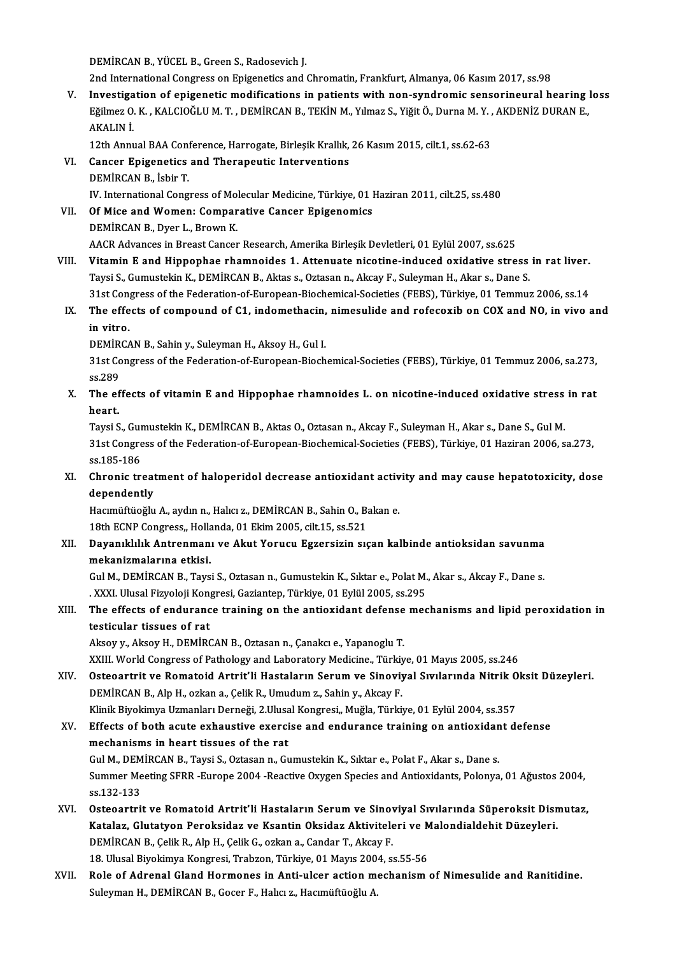DEMİRCANB.,YÜCELB.,GreenS.,Radosevich J.

2nd InternationalCongress onEpigenetics andChromatin,Frankfurt,Almanya,06Kasım2017, ss.98

V. Investigation of epigenetic modifications in patients with non-syndromic sensorineural hearing loss 2nd International Congress on Epigenetics and Chromatin, Frankfurt, Almanya, 06 Kasım 2017, ss.98<br>Investigation of epigenetic modifications in patients with non-syndromic sensorineural hearing i<br>Eğilmez O. K. , KALCIOĞLU M I<mark>nvestiga</mark><br>Eğilmez O.<br>AKALIN İ. Eğilmez O. K. , KALCIOĞLU M. T. , DEMİRCAN B., TEKİN M., Yılmaz S., Yiğit Ö., Durna M. Y. ,<br>AKALIN İ.<br>12th Annual BAA Conference, Harrogate, Birleşik Krallık, 26 Kasım 2015, cilt.1, ss.62-63<br>Cancer Enizanatics and Tharanau

AKALIN İ.<br>12th Annual BAA Conference, Harrogate, Birleşik Krallık,<br>VI. Cancer Epigenetics and Therapeutic Interventions<br>DEMİRCAN B. İsbir T. 12th Annual BAA Conf<br>Cancer Epigenetics<br>DEMİRCAN B., İsbir T.<br>W. International Cong DEMİRCAN B., İsbir T.<br>IV. International Congress of Molecular Medicine, Türkiye, 01 Haziran 2011, cilt.25, ss.480 DEMIRCAN B., İsbir T.<br>IV. International Congress of Molecular Medicine, Türkiye, 01 |<br>VII. Of Mice and Women: Comparative Cancer Epigenomics<br>DEMİRCAN R. DYALL Provin K.

IV. International Congress of Mo.<br>**Of Mice and Women: Compar**<br>DEMİRCAN B., Dyer L., Brown K.<br>AACP Advances in Broast Concer DEMİRCAN B., Dyer L., Brown K.<br>AACR Advances in Breast Cancer Research, Amerika Birleşik Devletleri, 01 Eylül 2007, ss.625

- DEMİRCAN B., Dyer L., Brown K.<br>AACR Advances in Breast Cancer Research, Amerika Birleşik Devletleri, 01 Eylül 2007, ss.625<br>VIII. Vitamin E and Hippophae rhamnoides 1. Attenuate nicotine-induced oxidative stress in rat Taysi S., Gumustekin K., DEMİRCAN B., Aktas s., Oztasan n., Akcay F., Suleyman H., Akar s., Dane S. Vitamin E and Hippophae rhamnoides 1. Attenuate nicotine-induced oxidative stress in rat liver.<br>Taysi S., Gumustekin K., DEMİRCAN B., Aktas s., Oztasan n., Akcay F., Suleyman H., Akar s., Dane S.<br>31st Congress of the Feder
- Taysi S., Gumustekin K., DEMİRCAN B., Aktas s., Oztasan n., Akcay F., Suleyman H., Akar s., Dane S.<br>31st Congress of the Federation-of-European-Biochemical-Societies (FEBS), Türkiye, 01 Temmuz 2006, ss.14<br>IX. The effects o 31st Congress of the Federation-of-European-Biochemical-Societies (FEBS), Türkiye, 01 Temmuz 2006, ss.14<br>The effects of compound of C1, indomethacin, nimesulide and rofecoxib on COX and NO, in vivo<br>in vitro.<br>DEMIRCAN B., S The effects of compound of C1, indomethacin,<br>in vitro.<br>DEMİRCAN B., Sahin y., Suleyman H., Aksoy H., Gul I.<br>21st Congress of the Eederation of European Biash

in vitro.<br>DEMİRCAN B., Sahin y., Suleyman H., Aksoy H., Gul I.<br>31st Congress of the Federation-of-European-Biochemical-Societies (FEBS), Türkiye, 01 Temmuz 2006, sa.273, DEMIR<br>31st Co<br>ss.289<br>The of 31st Congress of the Federation-of-European-Biochemical-Societies (FEBS), Türkiye, 01 Temmuz 2006, sa.273, ss.289<br>X. The effects of vitamin E and Hippophae rhamnoides L. on nicotine-induced oxidative stress in rat<br>heart

ss.289<br>The ef<br>heart.<br>Tavri S The effects of vitamin E and Hippophae rhamnoides L. on nicotine-induced oxidative stress<br>heart.<br>Taysi S., Gumustekin K., DEMİRCAN B., Aktas O., Oztasan n., Akcay F., Suleyman H., Akar s., Dane S., Gul M.<br>21st Congress of

heart.<br>Taysi S., Gumustekin K., DEMİRCAN B., Aktas O., Oztasan n., Akcay F., Suleyman H., Akar s., Dane S., Gul M.<br>31st Congress of the Federation-of-European-Biochemical-Societies (FEBS), Türkiye, 01 Haziran 2006, sa.273, Taysi S., Gur<br>31st Congre<br>ss.185-186<br>Chronic tr 31st Congress of the Federation-of-European-Biochemical-Societies (FEBS), Türkiye, 01 Haziran 2006, sa.273, ss.185-186<br>XI. Chronic treatment of haloperidol decrease antioxidant activity and may cause hepatotoxicity, dose<br>d

ss.185-186<br>Chronic treat<br>dependently<br>Hagmüffüoğlu Chronic treatment of haloperidol decrease antioxidant activ<br>dependently<br>Hacımüftüoğlu A., aydın n., Halıcı z., DEMİRCAN B., Sahin O., Bakan e.<br>19th ECNB Congress, Hallanda 01 Ekim 2005, silt 15, ss 521

dependently<br>Hacımüftüoğlu A., aydın n., Halıcı z., DEMİRCAN B., Sahin O., B.<br>18th ECNP Congress,, Hollanda, 01 Ekim 2005, cilt.15, ss.521<br>Davanıklılık Antronmanı ve Akut Yorucu Essonsisin av

Hacımüftüoğlu A., aydın n., Halıcı z., DEMİRCAN B., Sahin O., Bakan e.<br>18th ECNP Congress,, Hollanda, 01 Ekim 2005, cilt.15, ss.521<br>XII. Dayanıklılık Antrenmanı ve Akut Yorucu Egzersizin sıçan kalbinde antioksidan savunma<br> 18th ECNP Congress,, Holla<br>Dayanıklılık Antrenman<br>mekanizmalarına etkisi.<br>Cul M. DEMİPCAN B. Tava Dayanıklılık Antrenmanı ve Akut Yorucu Egzersizin sıçan kalbinde antioksidan savunma<br>mekanizmalarına etkisi.<br>Gul M., DEMİRCAN B., Taysi S., Oztasan n., Gumustekin K., Sıktar e., Polat M., Akar s., Akcay F., Dane s.<br>XXXI. U

mekanizmalarına etkisi.<br>Gul M., DEMİRCAN B., Taysi S., Oztasan n., Gumustekin K., Sıktar e., Polat M.<br>. XXXI. Ulusal Fizyoloji Kongresi, Gaziantep, Türkiye, 01 Eylül 2005, ss.295<br>The effects of endunange treining en the en Gul M., DEMİRCAN B., Taysi S., Oztasan n., Gumustekin K., Sıktar e., Polat M., Akar s., Akcay F., Dane s.<br>XXXI. Ulusal Fizyoloji Kongresi, Gaziantep, Türkiye, 01 Eylül 2005, ss.295.<br>XIII. The effects of endurance train

## . XXXI. Ulusal Fizyoloji Kongresi, Gaziantep, Türkiye, 01 Eylül 2005, ss.295<br>The effects of endurance training on the antioxidant defense metesticular tissues of rat<br>Aksoy y., Aksoy H., DEMİRCAN B., Oztasan n., Çanakcı e., The effects of endurance training on the antioxidant defense<br>testicular tissues of rat<br>Aksoy y., Aksoy H., DEMİRCAN B., Oztasan n., Çanakcı e., Yapanoglu T.<br>YYUL World Congress of Pathology and Laboratory Modisine, Türkiy

XXIII. World Congress of Pathology and Laboratory Medicine., Türkiye, 01 Mayıs 2005, ss.246

Aksoy y., Aksoy H., DEMİRCAN B., Oztasan n., Çanakcı e., Yapanoglu T.<br>XXIII. World Congress of Pathology and Laboratory Medicine., Türkiye, 01 Mayıs 2005, ss.246<br>XIV. Osteoartrit ve Romatoid Artrit'li Hastaların Serum XXIII. World Congress of Pathology and Laboratory Medicine., Türkiy<br>Osteoartrit ve Romatoid Artrit'li Hastaların Serum ve Sinoviy<br>DEMİRCAN B., Alp H., ozkan a., Çelik R., Umudum z., Sahin y., Akcay F.<br>Klinik Biyokimya Ugma Osteoartrit ve Romatoid Artrit'li Hastaların Serum ve Sinoviyal Sıvılarında Nitrik O<br>DEMİRCAN B., Alp H., ozkan a., Çelik R., Umudum z., Sahin y., Akcay F.<br>Klinik Biyokimya Uzmanları Derneği, 2.Ulusal Kongresi,, Muğla, Tür DEMİRCAN B., Alp H., ozkan a., Çelik R., Umudum z., Sahin y., Akcay F.<br>Klinik Biyokimya Uzmanları Derneği, 2.Ulusal Kongresi,, Muğla, Türkiye, 01 Eylül 2004, ss.357<br>XV. Effects of both acute exhaustive exercise and enduran

- Klinik Biyokimya Uzmanları Derneği, 2.Ulusa<br>Effects of both acute exhaustive exerci<br>mechanisms in heart tissues of the rat<br>Cul M. DEMİRCAN B. Tavgi S. Ortasan n. Cu Effects of both acute exhaustive exercise and endurance training on antioxidan<br>mechanisms in heart tissues of the rat<br>Gul M., DEMİRCAN B., Taysi S., Oztasan n., Gumustekin K., Sıktar e., Polat F., Akar s., Dane s.<br>Summer M mechanisms in heart tissues of the rat<br>Gul M., DEMİRCAN B., Taysi S., Oztasan n., Gumustekin K., Sıktar e., Polat F., Akar s., Dane s.<br>Summer Meeting SFRR -Europe 2004 -Reactive Oxygen Species and Antioxidants, Polonya, 01 Gul M., DEMİRCAN B., Taysi S., Oztasan n., Gumustekin K., Sıktar e., Polat F., Akar s., Dane s. Summer Meeting SFRR -Europe 2004 -Reactive Oxygen Species and Antioxidants, Polonya, 01 Ağustos 2004,<br>ss.132-133<br>XVI. Osteoartrit ve Romatoid Artrit'li Hastaların Serum ve Sinoviyal Sıvılarında Süperoksit Dismutaz,<br>Xatalar
- ss.132-133<br>Osteoartrit ve Romatoid Artrit'li Hastaların Serum ve Sinoviyal Sıvılarında Süperoksit Disr<br>Katalaz, Glutatyon Peroksidaz ve Ksantin Oksidaz Aktiviteleri ve Malondialdehit Düzeyleri.<br>PEMİPGAN B. Calik B. Alp H. DEMİRCAN B., Çelik R., Alp H., Çelik G., ozkan a., Candar T., Akcay F.<br>18. Ulusal Biyokimya Kongresi, Trabzon, Türkiye, 01 Mayıs 2004, ss.55-56 Katalaz, Glutatyon Peroksidaz ve Ksantin Oksidaz Aktiviteleri ve Malondialdehit Düzeyleri.
- XVII. Role of Adrenal Gland Hormones in Anti-ulcer action mechanism of Nimesulide and Ranitidine. Suleyman H., DEMİRCAN B., Gocer F., Halıcı z., Hacımüftüoğlu A.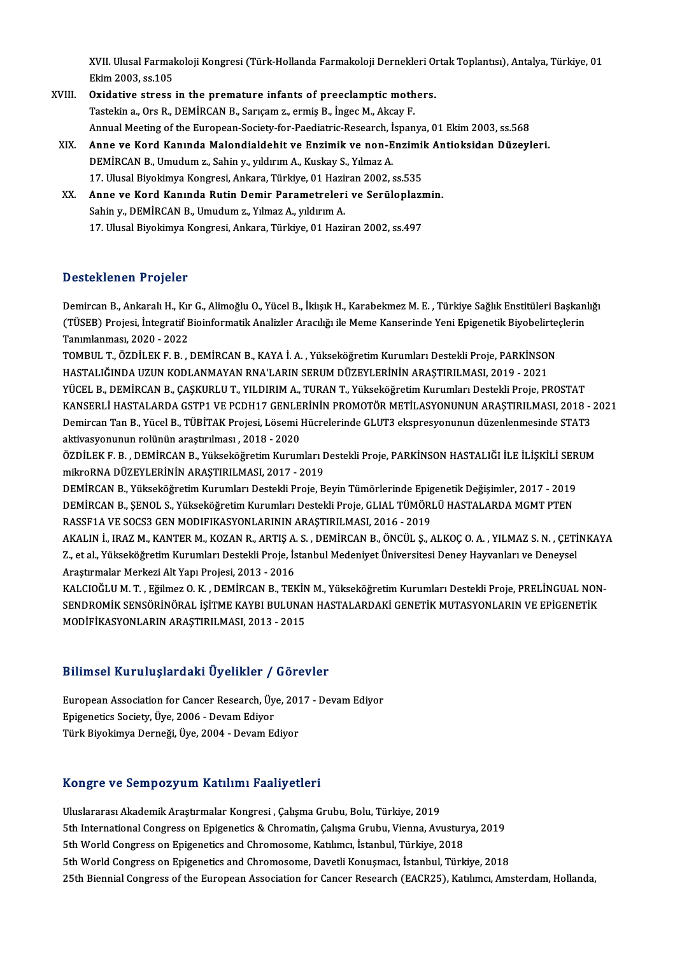XVII. Ulusal Farmakoloji Kongresi (Türk-Hollanda Farmakoloji Dernekleri Ortak Toplantısı), Antalya, Türkiye, 01<br>Flim 2002, 93.10E XVII. Ulusal Farmal<br>Ekim 2003, ss.105<br>Ovidative strees XVII. Ulusal Farmakoloji Kongresi (Türk-Hollanda Farmakoloji Dernekleri Orientalian 2003, ss.105<br>XVIII. Oxidative stress in the premature infants of preeclamptic mothers.<br>Testelin a Ore B. DEMIRCAN B. Servesm a ermis B. In

- Ekim 2003, ss.105<br>Oxidative stress in the premature infants of preeclamptic mothers.<br>Tastekin a., Ors R., DEMİRCAN B., Sarıçam z., ermiş B., İngec M., Akcay F. Oxidative stress in the premature infants of preeclamptic mothers.<br>Tastekin a., Ors R., DEMİRCAN B., Sarıçam z., ermiş B., İngec M., Akcay F.<br>Annual Meeting of the European-Society-for-Paediatric-Research, İspanya, 01 Ekim Tastekin a., Ors R., DEMİRCAN B., Sarıçam z., ermiş B., İngec M., Akcay F.<br>Annual Meeting of the European-Society-for-Paediatric-Research, İspanya, 01 Ekim 2003, ss.568<br>XIX. Anne ve Kord Kanında Malondialdehit ve Enzim
- Annual Meeting of the European-Society-for-Paediatric-Research, İ<br>Anne ve Kord Kanında Malondialdehit ve Enzimik ve non-E<br>DEMİRCAN B., Umudum z., Sahin y., yıldırım A., Kuskay S., Yılmaz A.<br>17 Hlucal Biyokimya Kongresi, An Anne ve Kord Kanında Malondialdehit ve Enzimik ve non-Enzimil<br>DEMİRCAN B., Umudum z., Sahin y., yıldırım A., Kuskay S., Yılmaz A.<br>17. Ulusal Biyokimya Kongresi, Ankara, Türkiye, 01 Haziran 2002, ss.535<br>Anne ve Kord Kanında DEMİRCAN B., Umudum z., Sahin y., yıldırım A., Kuskay S., Yılmaz A.<br>17. Ulusal Biyokimya Kongresi, Ankara, Türkiye, 01 Haziran 2002, ss.535<br>XX. Anne ve Kord Kanında Rutin Demir Parametreleri ve Serüloplazmin.
- Sahin y., DEMİRCAN B., Umudum z., Yılmaz A., yıldırım A. 17. Ulusal Biyokimya Kongresi, Ankara, Türkiye, 01 Haziran 2002, ss.497

### Desteklenen Projeler

Desteklenen Projeler<br>Demircan B., Ankaralı H., Kır G., Alimoğlu O., Yücel B., İkiışık H., Karabekmez M. E. , Türkiye Sağlık Enstitüleri Başkanlığı<br>(Tüşke) Prejesi İntegratif Bişinformatik Anelirler Anaglığı ile Meme Kanagr D'estefiren'en 'n trojesen<br>Demircan B., Ankaralı H., Kır G., Alimoğlu O., Yücel B., İkiışık H., Karabekmez M. E. , Türkiye Sağlık Enstitüleri Başkanl<br>(TÜSEB) Projesi, İntegratif Bioinformatik Analizler Aracılığı ile Meme K Demircan B., Ankaralı H., Kır<br>(TÜSEB) Projesi, İntegratif E<br>Tanımlanması, 2020 - 2022<br>TOMBUL T. ÖZDİLEKE B. (TÜSEB) Projesi, İntegratif Bioinformatik Analizler Aracılığı ile Meme Kanserinde Yeni Epigenetik Biyobelirte<br>Tanımlanması, 2020 - 2022<br>TOMBUL T., ÖZDİLEK F. B. , DEMİRCAN B., KAYA İ. A. , Yükseköğretim Kurumları Destekli

Tanımlanması, 2020 - 2022<br>TOMBUL T., ÖZDİLEK F. B. , DEMİRCAN B., KAYA İ. A. , Yükseköğretim Kurumları Destekli Proje, PARKİNSON<br>HASTALIĞINDA UZUN KODLANMAYAN RNA'LARIN SERUM DÜZEYLERİNİN ARAŞTIRILMASI, 2019 - 2021 YÜCEL B., DEMİRCAN B., ÇAŞKURLU T., YILDIRIM A., TURAN T., Yükseköğretim Kurumları Destekli Proje, PROSTAT HASTALIĞINDA UZUN KODLANMAYAN RNA'LARIN SERUM DÜZEYLERİNİN ARAŞTIRILMASI, 2019 - 2021<br>YÜCEL B., DEMİRCAN B., ÇAŞKURLU T., YILDIRIM A., TURAN T., Yükseköğretim Kurumları Destekli Proje, PROSTAT<br>KANSERLİ HASTALARDA GSTP1 VE YÜCEL B., DEMİRCAN B., ÇAŞKURLU T., YILDIRIM A., TURAN T., Yükseköğretim Kurumları Destekli Proje, PROSTAT<br>KANSERLİ HASTALARDA GSTP1 VE PCDH17 GENLERİNİN PROMOTÖR METİLASYONUNUN ARAŞTIRILMASI, 2018 -<br>Demircan Tan B., Yücel KANSERLİ HASTALARDA GSTP1 VE PCDH17 GENLE<br>Demircan Tan B., Yücel B., TÜBİTAK Projesi, Lösemi l<br>aktivasyonunun rolünün araştırılması , 2018 - 2020<br>ÖZDİLEK E. B., DEMİRCAN B., Yükseköğretim Kurum Demircan Tan B., Yücel B., TÜBİTAK Projesi, Lösemi Hücrelerinde GLUT3 ekspresyonunun düzenlenmesinde STAT3<br>aktivasyonunun rolünün araştırılması , 2018 - 2020<br>ÖZDİLEK F. B. , DEMİRCAN B., Yükseköğretim Kurumları Destekli Pr

aktivasyonunun rolünün araştırılması , 2018 - 2020<br>ÖZDİLEK F. B. , DEMİRCAN B., Yükseköğretim Kurumları I<br>mikroRNA DÜZEYLERİNİN ARAŞTIRILMASI, 2017 - 2019<br>DEMİRCAN B. Yükseköğretim Kurumları Destekli Preje B ÖZDİLEK F. B. , DEMİRCAN B., Yükseköğretim Kurumları Destekli Proje, PARKİNSON HASTALIĞI İLE İLİŞKİLİ SER<br>mikroRNA DÜZEYLERİNİN ARAŞTIRILMASI, 2017 - 2019<br>DEMİRCAN B., Yükseköğretim Kurumları Destekli Proje, Beyin Tümörler

mikroRNA DÜZEYLERİNİN ARAŞTIRILMASI, 2017 - 2019<br>DEMİRCAN B., Yükseköğretim Kurumları Destekli Proje, Beyin Tümörlerinde Epigenetik Değişimler, 2017 - 2019<br>DEMİRCAN B., ŞENOL S., Yükseköğretim Kurumları Destekli Proje, GLI DEMİRCAN B., Yükseköğretim Kurumları Destekli Proje, Beyin Tümörlerinde Epig<br>DEMİRCAN B., ŞENOL S., Yükseköğretim Kurumları Destekli Proje, GLIAL TÜMÖRI<br>RASSF1A VE SOCS3 GEN MODIFIKASYONLARININ ARAŞTIRILMASI, 2016 - 2019<br>A DEMİRCAN B., ŞENOL S., Yükseköğretim Kurumları Destekli Proje, GLIAL TÜMÖRLÜ HASTALARDA MGMT PTEN<br>RASSF1A VE SOCS3 GEN MODIFIKASYONLARININ ARAŞTIRILMASI, 2016 - 2019<br>AKALIN İ., IRAZ M., KANTER M., KOZAN R., ARTIŞ A. S. , D

RASSF1A VE SOCS3 GEN MODIFIKASYONLARININ ARAŞTIRILMASI, 2016 - 2019<br>AKALIN İ., IRAZ M., KANTER M., KOZAN R., ARTIŞ A. S. , DEMİRCAN B., ÖNCÜL Ş., ALKOÇ O. A. , YILMAZ S. N. , ÇETİ<br>Z., et al., Yükseköğretim Kurumları Destek AKALIN İ., IRAZ M., KANTER M., KOZAN R., ARTIŞ A.<br>Z., et al., Yükseköğretim Kurumları Destekli Proje, İs<br>Araştırmalar Merkezi Alt Yapı Projesi, 2013 - 2016<br>KALCIQĞLILM T., Eğilmaz O. K., DEMİRCAN B., TEK Z., et al., Yükseköğretim Kurumları Destekli Proje, İstanbul Medeniyet Üniversitesi Deney Hayvanları ve Deneysel<br>Araştırmalar Merkezi Alt Yapı Projesi, 2013 - 2016

KALCIOĞLU M. T. , Eğilmez O. K. , DEMİRCAN B., TEKİN M., Yükseköğretim Kurumları Destekli Proje, PRELİNGUAL NON<br>SENDROMİK SENSÖRİNÖRAL İŞİTME KAYBI BULUNAN HASTALARDAKİ GENETİK MUTASYONLARIN VE EPİGENETİK<br>MODİFİKASYONLARIN SENDROMİK SENSÖRİNÖRAL İŞİTME KAYBI BULUNAN HASTALARDAKİ GENETİK MUTASYONLARIN VE EPİGENETİK

### Bilimsel KuruluşlardakiÜyelikler / Görevler

Bilimsel Kuruluşlardaki Üyelikler / Görevler<br>European Association for Cancer Research, Üye, 2017 - Devam Ediyor<br>Enisenetise Society Üye, 2006 - Devam Ediyor European Association for Cancer Research, Üye, 2006 - Devam Ediyor<br>Epigenetics Society, Üye, 2006 - Devam Ediyor<br>Türk Biyokimyo Derneği, Üye, 2004 - Devam Ed Epigenetics Society, Üye, 2006 - Devam Ediyor<br>Türk Biyokimya Derneği, Üye, 2004 - Devam Ediyor

#### Kongre ve SempozyumKatılımı Faaliyetleri

K<mark>ongre ve Sempozyum Katılımı Faaliyetleri</mark><br>Uluslararası Akademik Araştırmalar Kongresi , Çalışma Grubu, Bolu, Türkiye, 2019<br>Eth International Congress en Enizenstise & Chrematin Colume Crubu, Vienne, Avr 5th International Congress on Epigenetics & Chromatin, Çalışma Grubu, Vienna, Avusturya, 2019<br>5th World Congress on Epigenetics and Chromosome, Katılımcı, İstanbul, Türkiye, 2018 Uluslararası Akademik Araştırmalar Kongresi , Çalışma Grubu, Bolu, Türkiye, 2019<br>5th International Congress on Epigenetics & Chromatin, Çalışma Grubu, Vienna, Avustur<br>5th World Congress on Epigenetics and Chromosome, Katıl 5th World Congress on Epigenetics and Chromosome, Davetli Konuşmacı, İstanbul, Türkiye, 2018 25th Biennial Congress of the European Association for Cancer Research (EACR25), Katılımcı, Amsterdam, Hollanda,